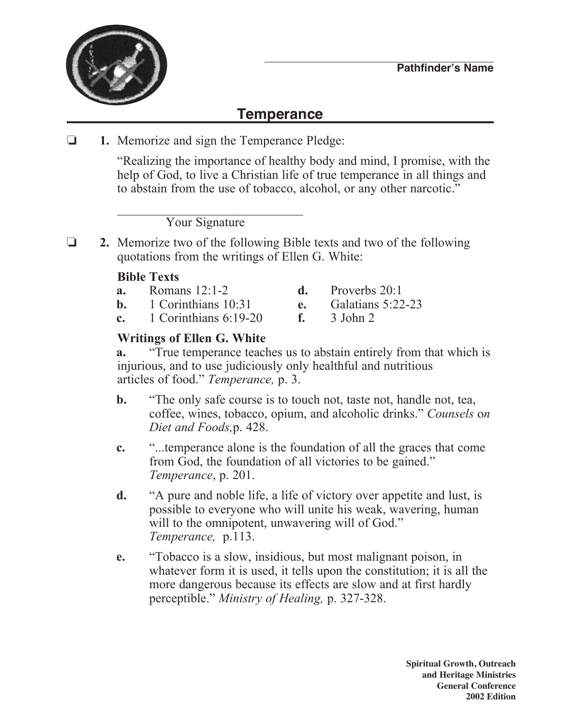

## **Temperance**

o **1.** Memorize and sign the Temperance Pledge:

 "Realizing the importance of healthy body and mind, I promise, with the help of God, to live a Christian life of true temperance in all things and to abstain from the use of tobacco, alcohol, or any other narcotic."

 $\mathcal{L}_\text{max} = \frac{1}{2} \sum_{i=1}^{n} \frac{1}{2} \sum_{i=1}^{n} \frac{1}{2} \sum_{i=1}^{n} \frac{1}{2} \sum_{i=1}^{n} \frac{1}{2} \sum_{i=1}^{n} \frac{1}{2} \sum_{i=1}^{n} \frac{1}{2} \sum_{i=1}^{n} \frac{1}{2} \sum_{i=1}^{n} \frac{1}{2} \sum_{i=1}^{n} \frac{1}{2} \sum_{i=1}^{n} \frac{1}{2} \sum_{i=1}^{n} \frac{1}{2} \sum_{i=1}^{n} \frac{1$ Your Signature

o **2.** Memorize two of the following Bible texts and two of the following quotations from the writings of Ellen G. White:

## **Bible Texts**

- **a.** Romans 12:1-2 **d.** Proverbs 20:1
- **b.** 1 Corinthians 10:31 **e.** Galatians 5:22-23
- **c.** 1 Corinthians 6:19-20 **f.** 3 John 2
- 
- -

## **Writings of Ellen G. White**

**a.** "True temperance teaches us to abstain entirely from that which is injurious, and to use judiciously only healthful and nutritious articles of food." *Temperance,* p. 3.

- **b.** "The only safe course is to touch not, taste not, handle not, tea, coffee, wines, tobacco, opium, and alcoholic drinks." *Counsels* o*n Diet and Foods,*p. 428.
- **c.** "...temperance alone is the foundation of all the graces that come from God, the foundation of all victories to be gained." *Temperance*, p. 201.
- **d.** "A pure and noble life, a life of victory over appetite and lust, is possible to everyone who will unite his weak, wavering, human will to the omnipotent, unwavering will of God." *Temperance,* p.113.
- **e.** "Tobacco is a slow, insidious, but most malignant poison, in whatever form it is used, it tells upon the constitution; it is all the more dangerous because its effects are slow and at first hardly perceptible." *Ministry of Healing,* p. 327-328.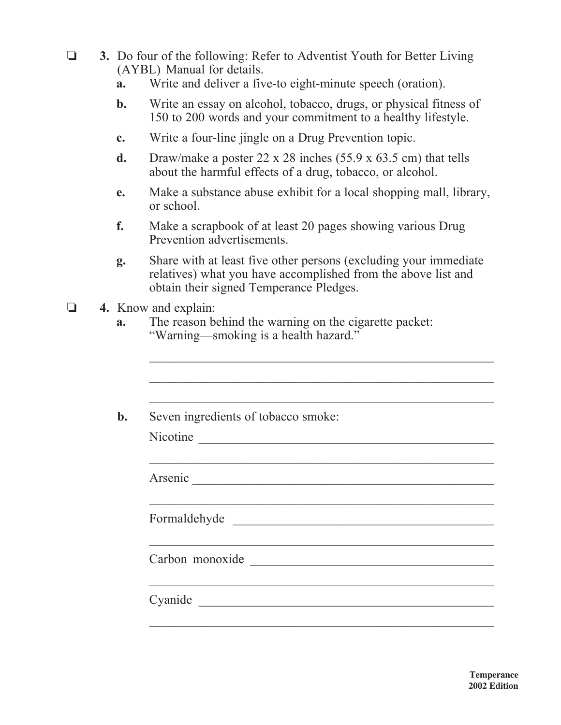- **3.** Do four of the following: Refer to Adventist Youth for Better Living (AYBL) Manual for details.
	- **a.** Write and deliver a five-to eight-minute speech (oration).
	- **b.** Write an essay on alcohol, tobacco, drugs, or physical fitness of 150 to 200 words and your commitment to a healthy lifestyle.
	- **c.** Write a four-line jingle on a Drug Prevention topic.
	- **d.** Draw/make a poster 22 x 28 inches (55.9 x 63.5 cm) that tells about the harmful effects of a drug, tobacco, or alcohol.
	- **e.** Make a substance abuse exhibit for a local shopping mall, library, or school.
	- **f.** Make a scrapbook of at least 20 pages showing various Drug Prevention advertisements.
	- **g.** Share with at least five other persons (excluding your immediate relatives) what you have accomplished from the above list and obtain their signed Temperance Pledges.
- **4.** Know and explain:
	- **a.** The reason behind the warning on the cigarette packet: "Warning—smoking is a health hazard."

|          | Seven ingredients of tobacco smoke:                        |
|----------|------------------------------------------------------------|
| Nicotine |                                                            |
|          |                                                            |
|          |                                                            |
|          |                                                            |
|          | Formaldehyde                                               |
|          | <u> 1989 - Johann Stoff, amerikansk politiker (* 1908)</u> |
|          | Carbon monoxide                                            |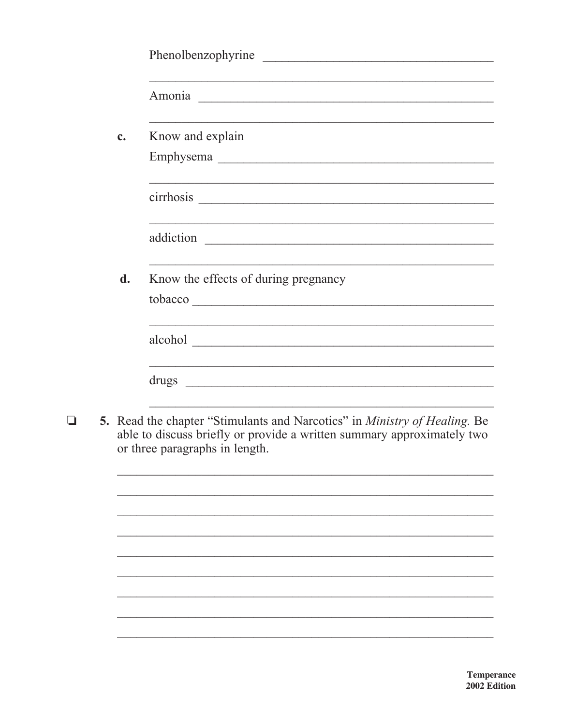| Phenolbenzophyrine                                                                                                                                                                                                             |
|--------------------------------------------------------------------------------------------------------------------------------------------------------------------------------------------------------------------------------|
|                                                                                                                                                                                                                                |
| Amonia Land and the contract of the contract of the contract of the contract of the contract of the contract of the contract of the contract of the contract of the contract of the contract of the contract of the contract o |
|                                                                                                                                                                                                                                |
| Know and explain                                                                                                                                                                                                               |
|                                                                                                                                                                                                                                |
|                                                                                                                                                                                                                                |
|                                                                                                                                                                                                                                |
|                                                                                                                                                                                                                                |
|                                                                                                                                                                                                                                |
| <u> 1989 - Andrea Santa Andrea Andrea Andrea Andrea Andrea Andrea Andrea Andrea Andrea Andrea Andrea Andrea Andr</u>                                                                                                           |
| Know the effects of during pregnancy                                                                                                                                                                                           |
|                                                                                                                                                                                                                                |
|                                                                                                                                                                                                                                |
| alcohol                                                                                                                                                                                                                        |
|                                                                                                                                                                                                                                |
|                                                                                                                                                                                                                                |
|                                                                                                                                                                                                                                |

5. Read the chapter "Stimulants and Narcotics" in *Ministry of Healing*. Be able to discuss briefly or provide a written summary approximately two  $\Box$ or three paragraphs in length.